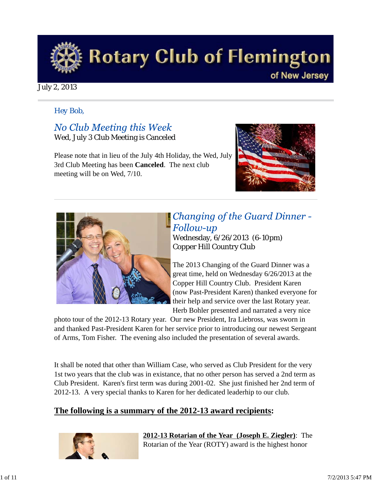

### July 2, 2013

### *Hey Bob,*

No Club Meeting this Week Wed, July 3 Club Meeting is Canceled

Please note that in lieu of the July 4th Holiday, the Wed, July 3rd Club Meeting has been **Canceled**. The next club meeting will be on Wed, 7/10.





## **Changing of the Guard Dinner -***Follow-up*

Wednesday, 6/26/2013 (6-10pm) Copper Hill Country Club

The 2013 Changing of the Guard Dinner was a great time, held on Wednesday 6/26/2013 at the Copper Hill Country Club. President Karen (now Past-President Karen) thanked everyone for their help and service over the last Rotary year. Herb Bohler presented and narrated a very nice

photo tour of the 2012-13 Rotary year. Our new President, Ira Liebross, was sworn in and thanked Past-President Karen for her service prior to introducing our newest Sergeant of Arms, Tom Fisher. The evening also included the presentation of several awards.

It shall be noted that other than William Case, who served as Club President for the very 1st two years that the club was in existance, that no other person has served a 2nd term as Club President. Karen's first term was during 2001-02. She just finished her 2nd term of 2012-13. A very special thanks to Karen for her dedicated leaderhip to our club.

### **The following is a summary of the 2012-13 award recipients:**



**2012-13 Rotarian of the Year (Joseph E. Ziegler)**: The Rotarian of the Year (ROTY) award is the highest honor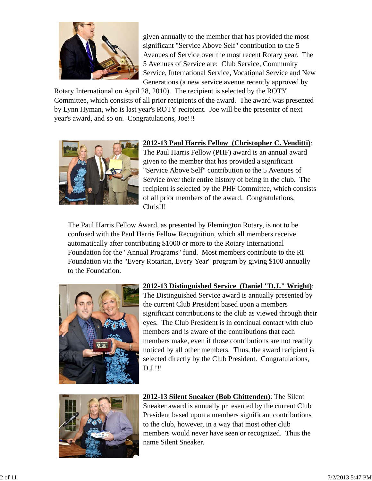

given annually to the member that has provided the most significant "Service Above Self" contribution to the 5 Avenues of Service over the most recent Rotary year. The 5 Avenues of Service are: Club Service, Community Service, International Service, Vocational Service and New Generations (a new service avenue recently approved by

Rotary International on April 28, 2010). The recipient is selected by the ROTY Committee, which consists of all prior recipients of the award. The award was presented by Lynn Hyman, who is last year's ROTY recipient. Joe will be the presenter of next year's award, and so on. Congratulations, Joe!!!



### **2012-13 Paul Harris Fellow (Christopher C. Venditti)**:

The Paul Harris Fellow (PHF) award is an annual award given to the member that has provided a significant "Service Above Self" contribution to the 5 Avenues of Service over their entire history of being in the club. The recipient is selected by the PHF Committee, which consists of all prior members of the award. Congratulations, Chris!!!

The Paul Harris Fellow Award, as presented by Flemington Rotary, is not to be confused with the Paul Harris Fellow Recognition, which all members receive automatically after contributing \$1000 or more to the Rotary International Foundation for the "Annual Programs" fund. Most members contribute to the RI Foundation via the "Every Rotarian, Every Year" program by giving \$100 annually to the Foundation.



**2012-13 Distinguished Service (Daniel "D.J." Wright)**: The Distinguished Service award is annually presented by the current Club President based upon a members significant contributions to the club as viewed through their eyes. The Club President is in continual contact with club members and is aware of the contributions that each members make, even if those contributions are not readily noticed by all other members. Thus, the award recipient is selected directly by the Club President. Congratulations, D.J.!!!



**2012-13 Silent Sneaker (Bob Chittenden)**: The Silent Sneaker award is annually pr esented by the current Club President based upon a members significant contributions to the club, however, in a way that most other club members would never have seen or recognized. Thus the name Silent Sneaker.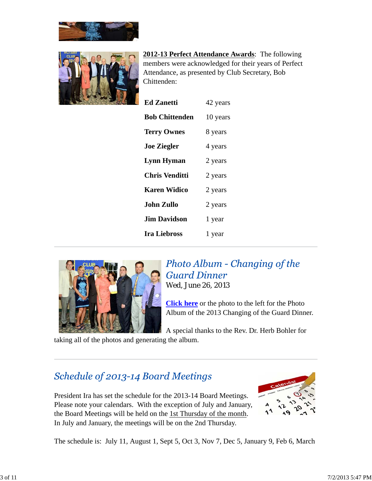



**2012-13 Perfect Attendance Awards**: The following members were acknowledged for their years of Perfect Attendance, as presented by Club Secretary, Bob Chittenden:

| <b>Ed Zanetti</b>     | 42 years |
|-----------------------|----------|
| <b>Bob Chittenden</b> | 10 years |
| <b>Terry Ownes</b>    | 8 years  |
| <b>Joe Ziegler</b>    | 4 years  |
| <b>Lynn Hyman</b>     | 2 years  |
| <b>Chris Venditti</b> | 2 years  |
| <b>Karen Widico</b>   | 2 years  |
| John Zullo            | 2 years  |
| <b>Jim Davidson</b>   | 1 year   |
| <b>Ira Liebross</b>   | 1 year   |



Photo Album - Changing of the **Guard Dinner** Wed, June 26, 2013

**Click here** or the photo to the left for the Photo Album of the 2013 Changing of the Guard Dinner.

A special thanks to the Rev. Dr. Herb Bohler for

taking all of the photos and generating the album.

## Schedule of 2013-14 Board Meetings

President Ira has set the schedule for the 2013-14 Board Meetings. Please note your calendars. With the exception of July and January, the Board Meetings will be held on the 1st Thursday of the month. In July and January, the meetings will be on the 2nd Thursday.



The schedule is: July 11, August 1, Sept 5, Oct 3, Nov 7, Dec 5, January 9, Feb 6, March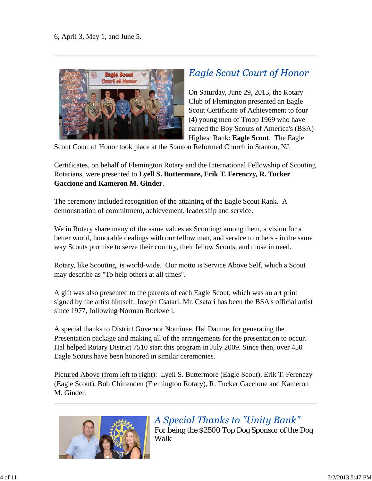

## **Eagle Scout Court of Honor**

On Saturday, June 29, 2013, the Rotary Club of Flemington presented an Eagle Scout Certificate of Achievement to four (4) young men of Troop 1969 who have earned the Boy Scouts of America's (BSA) Highest Rank: **Eagle Scout**. The Eagle

Scout Court of Honor took place at the Stanton Reformed Church in Stanton, NJ.

Certificates, on behalf of Flemington Rotary and the International Fellowship of Scouting Rotarians, were presented to **Lyell S. Buttermore, Erik T. Ferenczy, R. Tucker Gaccione and Kameron M. Ginder**.

The ceremony included recognition of the attaining of the Eagle Scout Rank. A demonstration of commitment, achievement, leadership and service.

We in Rotary share many of the same values as Scouting: among them, a vision for a better world, honorable dealings with our fellow man, and service to others - in the same way Scouts promise to serve their country, their fellow Scouts, and those in need.

Rotary, like Scouting, is world-wide. Our motto is Service Above Self, which a Scout may describe as "To help others at all times".

A gift was also presented to the parents of each Eagle Scout, which was an art print signed by the artist himself, Joseph Csatari. Mr. Csatari has been the BSA's official artist since 1977, following Norman Rockwell.

A special thanks to District Governor Nominee, Hal Daume, for generating the Presentation package and making all of the arrangements for the presentation to occur. Hal helped Rotary District 7510 start this program in July 2009. Since then, over 450 Eagle Scouts have been honored in similar ceremonies.

Pictured Above (from left to right): Lyell S. Buttermore (Eagle Scout), Erik T. Ferenczy (Eagle Scout), Bob Chittenden (Flemington Rotary), R. Tucker Gaccione and Kameron M. Ginder.



A Special Thanks to "Unity Bank" For being the \$2500 Top Dog Sponsor of the Dog Walk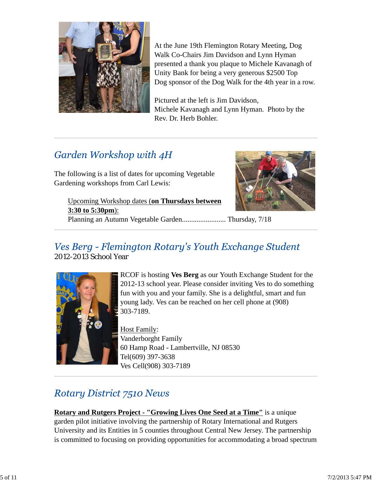

At the June 19th Flemington Rotary Meeting, Dog Walk Co-Chairs Jim Davidson and Lynn Hyman presented a thank you plaque to Michele Kavanagh of Unity Bank for being a very generous \$2500 Top Dog sponsor of the Dog Walk for the 4th year in a row.

Pictured at the left is Jim Davidson, Michele Kavanagh and Lynn Hyman. Photo by the Rev. Dr. Herb Bohler.

# Garden Workshop with 4H

The following is a list of dates for upcoming Vegetable Gardening workshops from Carl Lewis:



Upcoming Workshop dates (**on Thursdays between 3:30 to 5:30pm**): Planning an Autumn Vegetable Garden........................ Thursday, 7/18

### Ves Berg - Flemington Rotary's Youth Exchange Student 2012-2013 School Year



RCOF is hosting **Ves Berg** as our Youth Exchange Student for the 2012-13 school year. Please consider inviting Ves to do something fun with you and your family. She is a delightful, smart and fun young lady. Ves can be reached on her cell phone at (908) 303-7189.

Host Family: Vanderborght Family 60 Hamp Road - Lambertville, NJ 08530 Tel(609) 397-3638 Ves Cell(908) 303-7189

# **Rotary District 7510 News**

**Rotary and Rutgers Project - "Growing Lives One Seed at a Time"** is a unique garden pilot initiative involving the partnership of Rotary International and Rutgers University and its Entities in 5 counties throughout Central New Jersey. The partnership is committed to focusing on providing opportunities for accommodating a broad spectrum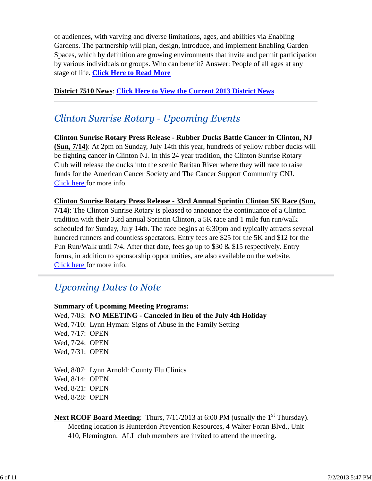of audiences, with varying and diverse limitations, ages, and abilities via Enabling Gardens. The partnership will plan, design, introduce, and implement Enabling Garden Spaces, which by definition are growing environments that invite and permit participation by various individuals or groups. Who can benefit? Answer: People of all ages at any stage of life. **Click Here to Read More**

### **District 7510 News**: **Click Here to View the Current 2013 District News**

### **Clinton Sunrise Rotary - Upcoming Events**

**Clinton Sunrise Rotary Press Release - Rubber Ducks Battle Cancer in Clinton, NJ (Sun, 7/14)**: At 2pm on Sunday, July 14th this year, hundreds of yellow rubber ducks will be fighting cancer in Clinton NJ. In this 24 year tradition, the Clinton Sunrise Rotary Club will release the ducks into the scenic Raritan River where they will race to raise funds for the American Cancer Society and The Cancer Support Community CNJ. Click here for more info.

**Clinton Sunrise Rotary Press Release - 33rd Annual Sprintin Clinton 5K Race (Sun, 7/14)**: The Clinton Sunrise Rotary is pleased to announce the continuance of a Clinton tradition with their 33rd annual Sprintin Clinton, a 5K race and 1 mile fun run/walk scheduled for Sunday, July 14th. The race begins at 6:30pm and typically attracts several hundred runners and countless spectators. Entry fees are \$25 for the 5K and \$12 for the Fun Run/Walk until 7/4. After that date, fees go up to \$30 & \$15 respectively. Entry forms, in addition to sponsorship opportunities, are also available on the website. Click here for more info.

### **Upcoming Dates to Note**

#### **Summary of Upcoming Meeting Programs:**

Wed, 7/03: **NO MEETING - Canceled in lieu of the July 4th Holiday** Wed, 7/10: Lynn Hyman: Signs of Abuse in the Family Setting Wed, 7/17: OPEN Wed, 7/24: OPEN Wed, 7/31: OPEN

Wed, 8/07: Lynn Arnold: County Flu Clinics Wed, 8/14: OPEN Wed, 8/21: OPEN Wed, 8/28: OPEN

### **Next RCOF Board Meeting:** Thurs, 7/11/2013 at 6:00 PM (usually the 1<sup>st</sup> Thursday). Meeting location is Hunterdon Prevention Resources, 4 Walter Foran Blvd., Unit 410, Flemington. ALL club members are invited to attend the meeting.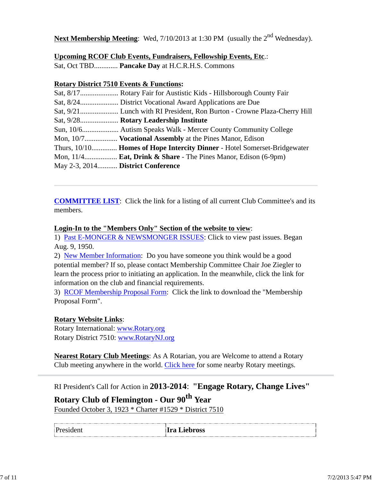**Next Membership Meeting**: Wed, 7/10/2013 at 1:30 PM (usually the 2<sup>nd</sup> Wednesday).

### **Upcoming RCOF Club Events, Fundraisers, Fellowship Events, Etc**.:

Sat, Oct TBD............. **Pancake Day** at H.C.R.H.S. Commons

### **Rotary District 7510 Events & Functions:**

|                                   | Mon, 10/7 Vocational Assembly at the Pines Manor, Edison                    |
|-----------------------------------|-----------------------------------------------------------------------------|
|                                   | Thurs, 10/10 Homes of Hope Intercity Dinner - Hotel Somerset-Bridgewater    |
|                                   | Mon, $11/4$ <b>Eat, Drink &amp; Share</b> - The Pines Manor, Edison (6-9pm) |
| May 2-3, 2014 District Conference |                                                                             |

**COMMITTEE LIST**: Click the link for a listing of all current Club Committee's and its members.

#### **Login-In to the "Members Only" Section of the website to view**:

1) Past E-MONGER & NEWSMONGER ISSUES: Click to view past issues. Began Aug. 9, 1950.

2) New Member Information: Do you have someone you think would be a good potential member? If so, please contact Membership Committee Chair Joe Ziegler to learn the process prior to initiating an application. In the meanwhile, click the link for information on the club and financial requirements.

3) RCOF Membership Proposal Form: Click the link to download the "Membership Proposal Form".

### **Rotary Website Links**:

Rotary International: www.Rotary.org Rotary District 7510: www.RotaryNJ.org

**Nearest Rotary Club Meetings**: As A Rotarian, you are Welcome to attend a Rotary Club meeting anywhere in the world. Click here for some nearby Rotary meetings.

RI President's Call for Action in **2013-2014**: **"Engage Rotary, Change Lives"**

**Rotary Club of Flemington - Our 90th Year**

Founded October 3, 1923 \* Charter #1529 \* District 7510

| President |
|-----------|
|           |
|           |
|           |
|           |

#### **Ira Liebross**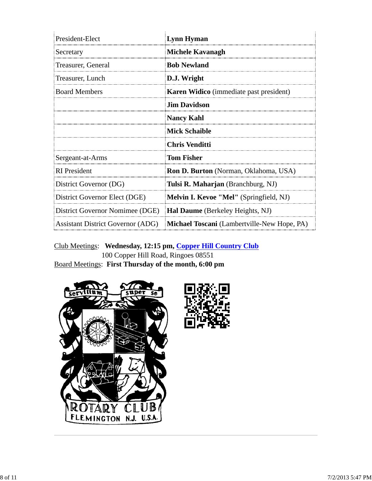| President-Elect                          | <b>Lynn Hyman</b>                                  |
|------------------------------------------|----------------------------------------------------|
| Secretary                                | <b>Michele Kavanagh</b>                            |
| Treasurer, General                       | <b>Bob Newland</b>                                 |
| Treasurer, Lunch                         | D.J. Wright                                        |
| <b>Board Members</b>                     | <b>Karen Widico</b> (immediate past president)     |
|                                          | <b>Jim Davidson</b>                                |
|                                          | <b>Nancy Kahl</b>                                  |
|                                          | <b>Mick Schaible</b>                               |
|                                          | Chris Venditti                                     |
| Sergeant-at-Arms                         | <b>Tom Fisher</b>                                  |
| <b>RI</b> President                      | <b>Ron D. Burton</b> (Norman, Oklahoma, USA)       |
| District Governor (DG)                   | Tulsi R. Maharjan (Branchburg, NJ)                 |
| District Governor Elect (DGE)            | Melvin I. Kevoe "Mel" (Springfield, NJ)            |
| District Governor Nomimee (DGE)          | Hal Daume (Berkeley Heights, NJ)                   |
| <b>Assistant District Governor (ADG)</b> | <b>Michael Toscani</b> (Lambertville-New Hope, PA) |

Club Meetings: **Wednesday, 12:15 pm, Copper Hill Country Club** 100 Copper Hill Road, Ringoes 08551 Board Meetings: **First Thursday of the month, 6:00 pm**



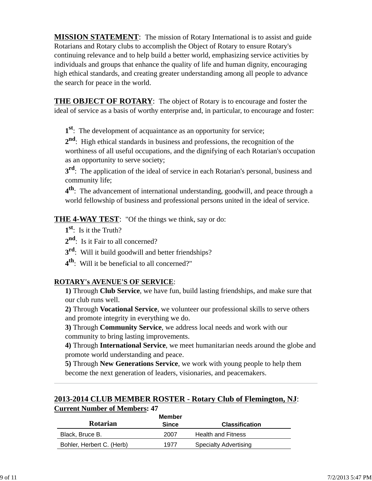**MISSION STATEMENT**: The mission of Rotary International is to assist and guide Rotarians and Rotary clubs to accomplish the Object of Rotary to ensure Rotary's continuing relevance and to help build a better world, emphasizing service activities by individuals and groups that enhance the quality of life and human dignity, encouraging high ethical standards, and creating greater understanding among all people to advance the search for peace in the world.

**THE OBJECT OF ROTARY**: The object of Rotary is to encourage and foster the ideal of service as a basis of worthy enterprise and, in particular, to encourage and foster:

**1st**: The development of acquaintance as an opportunity for service;

**2nd**: High ethical standards in business and professions, the recognition of the worthiness of all useful occupations, and the dignifying of each Rotarian's occupation as an opportunity to serve society;

**3<sup>rd</sup>**: The application of the ideal of service in each Rotarian's personal, business and community life;

**4th**: The advancement of international understanding, goodwill, and peace through a world fellowship of business and professional persons united in the ideal of service.

**THE 4-WAY TEST**: "Of the things we think, say or do:

- **1st**: Is it the Truth?
- 2<sup>nd</sup>: Is it Fair to all concerned?
- **3rd**: Will it build goodwill and better friendships?
- **4th**: Will it be beneficial to all concerned?"

### **ROTARY's AVENUE'S OF SERVICE**:

**1)** Through **Club Service**, we have fun, build lasting friendships, and make sure that our club runs well.

**2)** Through **Vocational Service**, we volunteer our professional skills to serve others and promote integrity in everything we do.

**3)** Through **Community Service**, we address local needs and work with our community to bring lasting improvements.

**4)** Through **International Service**, we meet humanitarian needs around the globe and promote world understanding and peace.

**5)** Through **New Generations Service**, we work with young people to help them become the next generation of leaders, visionaries, and peacemakers.

### **2013-2014 CLUB MEMBER ROSTER - Rotary Club of Flemington, NJ**: **Current Number of Members: 47**

| Member                    |              |                              |  |
|---------------------------|--------------|------------------------------|--|
| <b>Rotarian</b>           | <b>Since</b> | <b>Classification</b>        |  |
| Black, Bruce B.           | 2007         | <b>Health and Fitness</b>    |  |
| Bohler, Herbert C. (Herb) | 1977         | <b>Specialty Advertising</b> |  |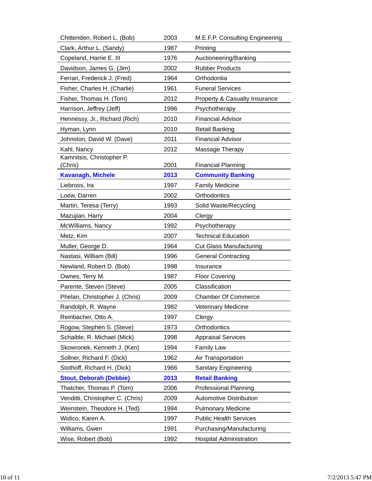| Chittenden, Robert L. (Bob)      | 2003 | M.E.F.P. Consulting Engineering |
|----------------------------------|------|---------------------------------|
| Clark, Arthur L. (Sandy)         | 1987 | Printing                        |
| Copeland, Harrie E. III          | 1976 | Auctioneering/Banking           |
| Davidson, James G. (Jim)         | 2002 | <b>Rubber Products</b>          |
| Ferrari, Frederick J. (Fred)     | 1964 | Orthodontia                     |
| Fisher, Charles H. (Charlie)     | 1961 | <b>Funeral Services</b>         |
| Fisher, Thomas H. (Tom)          | 2012 | Property & Casualty Insurance   |
| Harrison, Jeffrey (Jeff)         | 1996 | Psychotherapy                   |
| Hennessy, Jr., Richard (Rich)    | 2010 | <b>Financial Advisor</b>        |
| Hyman, Lynn                      | 2010 | <b>Retail Banking</b>           |
| Johnston, David W. (Dave)        | 2011 | <b>Financial Advisor</b>        |
| Kahl, Nancy                      | 2012 | Massage Therapy                 |
| Kamnitsis, Christopher P.        |      |                                 |
| (Chris)                          | 2001 | <b>Financial Planning</b>       |
| <b>Kavanagh, Michele</b>         | 2013 | <b>Community Banking</b>        |
| Liebross, Ira                    | 1997 | <b>Family Medicine</b>          |
| Loew, Darren                     | 2002 | Orthodontics                    |
| Martin, Teresa (Terry)           | 1993 | Solid Waste/Recycling           |
| Mazujian, Harry                  | 2004 | Clergy                          |
| McWilliams, Nancy                | 1992 | Psychotherapy                   |
| Metz, Kim                        | 2007 | <b>Technical Education</b>      |
| Muller, George D.                | 1964 | <b>Cut Glass Manufacturing</b>  |
| Nastasi, William (Bill)          | 1996 | <b>General Contracting</b>      |
| Newland, Robert D. (Bob)         | 1998 | Insurance                       |
| Ownes, Terry M.                  | 1987 | <b>Floor Covering</b>           |
| Parente, Steven (Steve)          | 2005 | Classification                  |
| Phelan, Christopher J. (Chris)   | 2009 | <b>Chamber Of Commerce</b>      |
| Randolph, R. Wayne               | 1982 | <b>Veterinary Medicine</b>      |
| Reinbacher, Otto A.              | 1997 | Clergy                          |
| Rogow, Stephen S. (Steve)        | 1973 | Orthodontics                    |
| Schaible, R. Michael (Mick)      | 1998 | <b>Appraisal Services</b>       |
| Skowronek, Kenneth J. (Ken)      | 1994 | <b>Family Law</b>               |
| Sollner, Richard F. (Dick)       | 1962 | Air Transportation              |
| Stothoff, Richard H. (Dick)      | 1966 | <b>Sanitary Engineering</b>     |
| <b>Stout, Deborah (Debbie)</b>   | 2013 | <b>Retail Banking</b>           |
| Thatcher, Thomas P. (Tom)        | 2006 | <b>Professional Planning</b>    |
| Venditti, Christopher C. (Chris) | 2009 | <b>Automotive Distribution</b>  |
| Weinstein, Theodore H. (Ted)     | 1994 | <b>Pulmonary Medicine</b>       |
| Widico, Karen A.                 | 1997 | <b>Public Health Services</b>   |
| Williams, Gwen                   | 1991 | Purchasing/Manufacturing        |
| Wise, Robert (Bob)               | 1992 | <b>Hospital Administration</b>  |